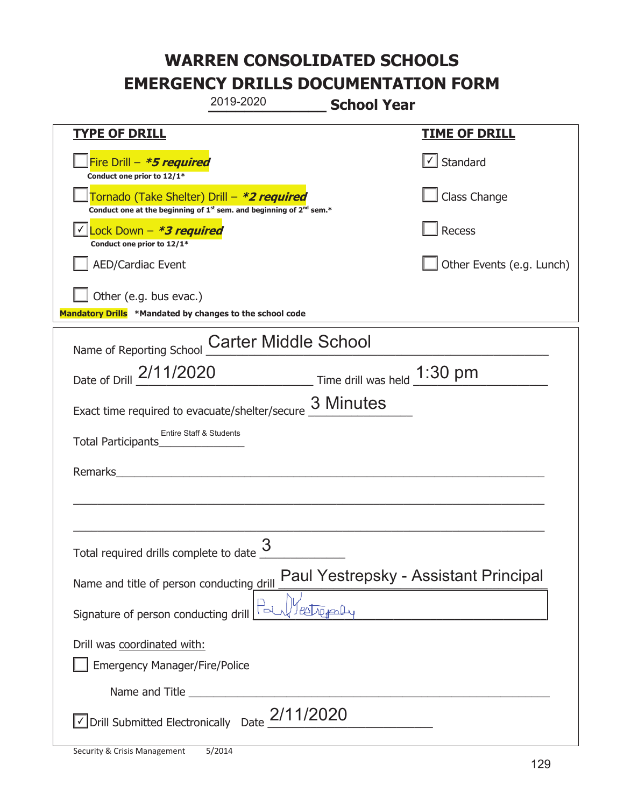|                                                                                    | 2019-2020                                                                                   | <b>School Year</b>                    |                                   |
|------------------------------------------------------------------------------------|---------------------------------------------------------------------------------------------|---------------------------------------|-----------------------------------|
| <u>TYPE OF DRILL</u>                                                               |                                                                                             |                                       | <b>TIME OF DRILL</b>              |
| Fire Drill - *5 required<br>Conduct one prior to 12/1*                             |                                                                                             |                                       | $\lfloor \angle \rfloor$ Standard |
| Tornado (Take Shelter) Drill – *2 required                                         | Conduct one at the beginning of 1 <sup>st</sup> sem. and beginning of 2 <sup>nd</sup> sem.* |                                       | Class Change                      |
| Lock Down - <b>*3 required</b><br>Conduct one prior to 12/1*                       |                                                                                             |                                       | Recess                            |
| <b>AED/Cardiac Event</b>                                                           |                                                                                             |                                       | Other Events (e.g. Lunch)         |
| Other (e.g. bus evac.)<br>Mandatory Drills *Mandated by changes to the school code |                                                                                             |                                       |                                   |
| Name of Reporting School                                                           | <b>Carter Middle School</b>                                                                 |                                       |                                   |
| Date of Drill 2/11/2020 Time drill was held 1:30 pm                                |                                                                                             |                                       |                                   |
| Exact time required to evacuate/shelter/secure 3 Minutes                           |                                                                                             |                                       |                                   |
| <b>Entire Staff &amp; Students</b><br>Total Participants                           |                                                                                             |                                       |                                   |
| Remarks                                                                            |                                                                                             |                                       |                                   |
|                                                                                    |                                                                                             |                                       |                                   |
| Total required drills complete to date $\frac{3}{2}$                               |                                                                                             |                                       |                                   |
| Name and title of person conducting drill                                          |                                                                                             | Paul Yestrepsky - Assistant Principal |                                   |
| Signature of person conducting drill                                               | Estral                                                                                      |                                       |                                   |
| Drill was coordinated with:                                                        |                                                                                             |                                       |                                   |
| Emergency Manager/Fire/Police                                                      |                                                                                             |                                       |                                   |
|                                                                                    |                                                                                             |                                       |                                   |
|                                                                                    | $\vee$ Drill Submitted Electronically Date $2/11/2020$                                      |                                       |                                   |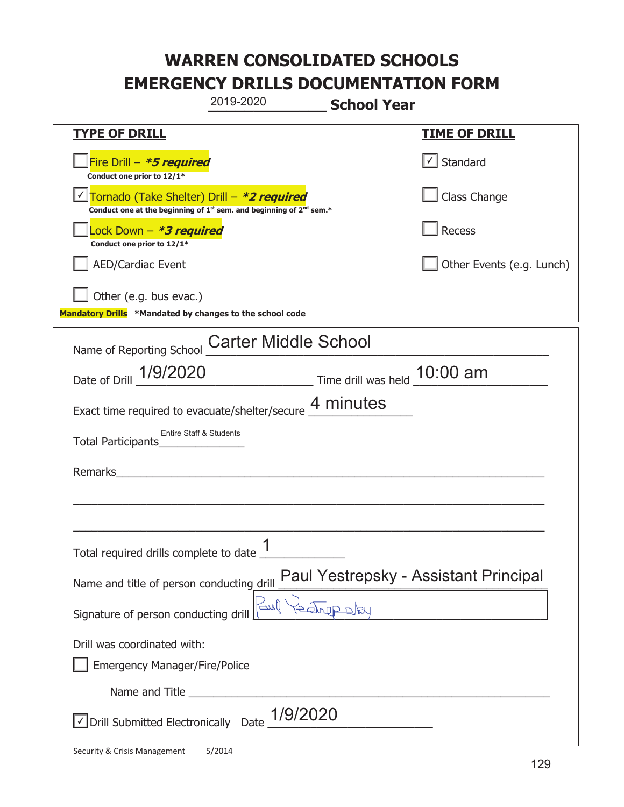|                                                                                                                                           | 2019-2020<br><b>School Year</b>                          |                                                  |
|-------------------------------------------------------------------------------------------------------------------------------------------|----------------------------------------------------------|--------------------------------------------------|
| <u>TYPE OF DRILL</u>                                                                                                                      |                                                          | <b>TIME OF DRILL</b>                             |
| Fire Drill - *5 required<br>Conduct one prior to 12/1*                                                                                    |                                                          | $\vert\textcolor{red}{\checkmark}\vert$ Standard |
| Tornado (Take Shelter) Drill – *2 required<br>Conduct one at the beginning of 1 <sup>st</sup> sem. and beginning of 2 <sup>nd</sup> sem.* |                                                          | Class Change                                     |
| Lock Down - *3 required<br>Conduct one prior to 12/1*                                                                                     |                                                          | Recess                                           |
| <b>AED/Cardiac Event</b>                                                                                                                  |                                                          | Other Events (e.g. Lunch)                        |
| Other (e.g. bus evac.)<br>Mandatory Drills *Mandated by changes to the school code                                                        |                                                          |                                                  |
| Name of Reporting School                                                                                                                  | <b>Carter Middle School</b>                              |                                                  |
| Date of Drill 1/9/2020                                                                                                                    | Time drill was held 10:00 am                             |                                                  |
|                                                                                                                                           | Exact time required to evacuate/shelter/secure 4 minutes |                                                  |
| <b>Entire Staff &amp; Students</b><br>Total Participants                                                                                  |                                                          |                                                  |
| Remarks                                                                                                                                   |                                                          |                                                  |
|                                                                                                                                           |                                                          |                                                  |
|                                                                                                                                           | 1                                                        |                                                  |
| Name and title of person conducting drill                                                                                                 | Paul Yestrepsky - Assistant Principal                    |                                                  |
| Signature of person conducting drill                                                                                                      | للمح                                                     |                                                  |
| Drill was coordinated with:                                                                                                               |                                                          |                                                  |
| <b>Emergency Manager/Fire/Police</b>                                                                                                      |                                                          |                                                  |
|                                                                                                                                           |                                                          |                                                  |
| √ Drill Submitted Electronically Date                                                                                                     | 1/9/2020                                                 |                                                  |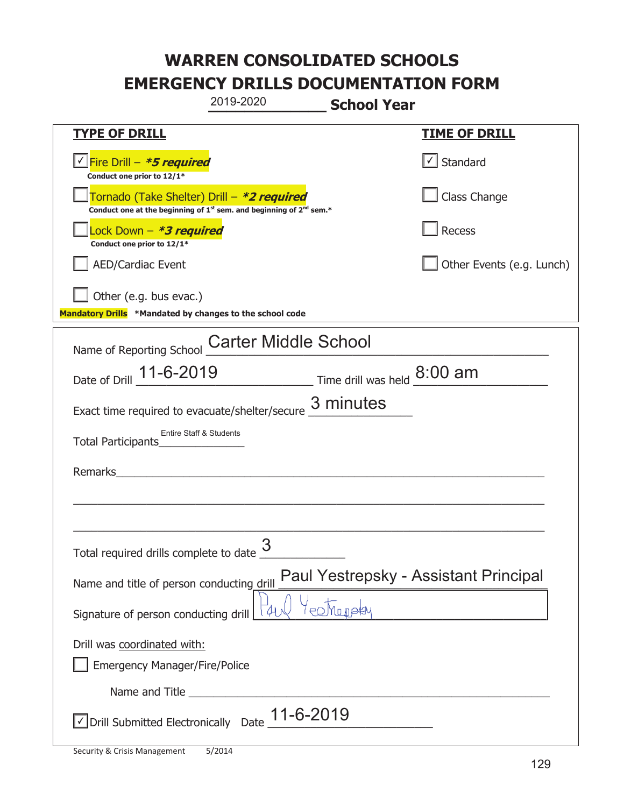|                                                                                    | 2019-2020                                                                                   | <b>School Year</b> |                                       |
|------------------------------------------------------------------------------------|---------------------------------------------------------------------------------------------|--------------------|---------------------------------------|
| <b>TYPE OF DRILL</b>                                                               |                                                                                             |                    | <b>TIME OF DRILL</b>                  |
| Fire Drill - *5 required<br>Conduct one prior to 12/1*                             |                                                                                             |                    | $\lfloor \angle \rfloor$ Standard     |
| Tornado (Take Shelter) Drill – *2 required                                         | Conduct one at the beginning of 1 <sup>st</sup> sem. and beginning of 2 <sup>nd</sup> sem.* |                    | Class Change                          |
| Lock Down - *3 required<br>Conduct one prior to 12/1*                              |                                                                                             |                    | Recess                                |
| <b>AED/Cardiac Event</b>                                                           |                                                                                             |                    | Other Events (e.g. Lunch)             |
| Other (e.g. bus evac.)<br>Mandatory Drills *Mandated by changes to the school code |                                                                                             |                    |                                       |
| Name of Reporting School                                                           | <b>Carter Middle School</b>                                                                 |                    |                                       |
| Date of Drill 11-6-2019 Time drill was held 8:00 am                                |                                                                                             |                    |                                       |
| Exact time required to evacuate/shelter/secure 3 minutes                           |                                                                                             |                    |                                       |
| Entire Staff & Students<br>Total Participants                                      |                                                                                             |                    |                                       |
| Remarks                                                                            |                                                                                             |                    |                                       |
|                                                                                    |                                                                                             |                    |                                       |
|                                                                                    |                                                                                             |                    |                                       |
| Total required drills complete to date $\frac{0}{1}$                               | 3                                                                                           |                    |                                       |
| Name and title of person conducting drill                                          |                                                                                             |                    | Paul Yestrepsky - Assistant Principal |
| Signature of person conducting drill                                               |                                                                                             | POMUDAY            |                                       |
| Drill was coordinated with:<br>Emergency Manager/Fire/Police                       |                                                                                             |                    |                                       |
|                                                                                    |                                                                                             |                    |                                       |
| $\sqrt{}$ Drill Submitted Electronically Date $\underline{11}$ -6-2019             |                                                                                             |                    |                                       |

T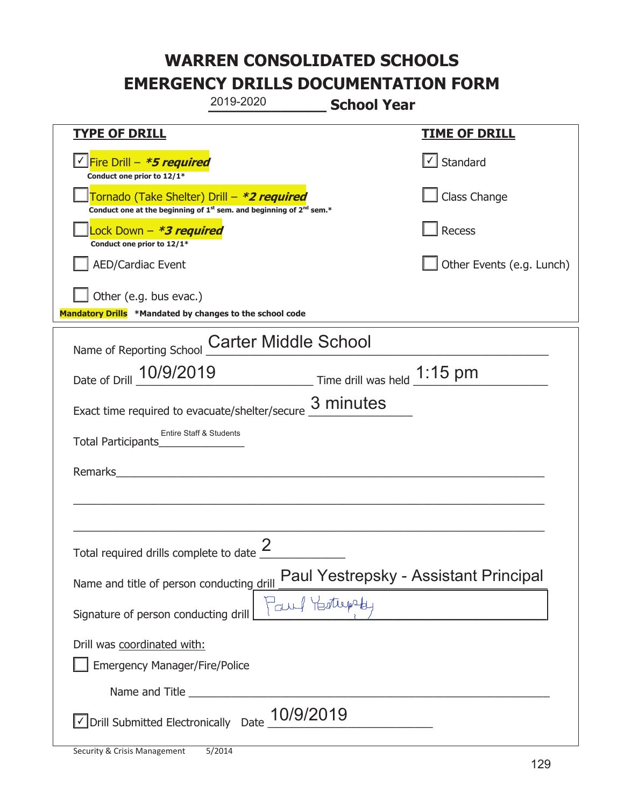| 2019-2020                                                                                                                                 | <b>School Year</b>                                                                                     |
|-------------------------------------------------------------------------------------------------------------------------------------------|--------------------------------------------------------------------------------------------------------|
| <u>TYPE OF DRILL</u>                                                                                                                      | <b>TIME OF DRILL</b>                                                                                   |
| Fire Drill - *5 required<br>Conduct one prior to 12/1*                                                                                    | $\lfloor \angle \rfloor$ Standard                                                                      |
| Tornado (Take Shelter) Drill – *2 required<br>Conduct one at the beginning of 1 <sup>st</sup> sem. and beginning of 2 <sup>nd</sup> sem.* | Class Change                                                                                           |
| Lock Down - *3 required<br>Conduct one prior to 12/1*                                                                                     | Recess                                                                                                 |
| <b>AED/Cardiac Event</b>                                                                                                                  | Other Events (e.g. Lunch)                                                                              |
| Other (e.g. bus evac.)<br>Mandatory Drills *Mandated by changes to the school code                                                        |                                                                                                        |
| <b>Carter Middle School</b><br>Name of Reporting School                                                                                   |                                                                                                        |
| Date of Drill 10/9/2019 Time drill was held 1:15 pm                                                                                       |                                                                                                        |
| Exact time required to evacuate/shelter/secure 3 minutes                                                                                  |                                                                                                        |
| Entire Staff & Students<br>Total Participants                                                                                             |                                                                                                        |
| Remarks                                                                                                                                   |                                                                                                        |
|                                                                                                                                           |                                                                                                        |
| $\mathcal{P}$<br>Total required drills complete to date $\leq$                                                                            |                                                                                                        |
| Name and title of person conducting drill                                                                                                 | <mark>⊩ Paul Yestrepsky - Assistant Principal</mark><br>ે <sub>ંડાપ</sub> ્રી ∀⊖ <i>ર્ય</i> પ્રક્ષ્યનુ |
| Signature of person conducting drill                                                                                                      |                                                                                                        |
| Drill was coordinated with:<br>Emergency Manager/Fire/Police                                                                              |                                                                                                        |
|                                                                                                                                           |                                                                                                        |
| $\vee$ Drill Submitted Electronically Date $\_$ 10/9/2019                                                                                 |                                                                                                        |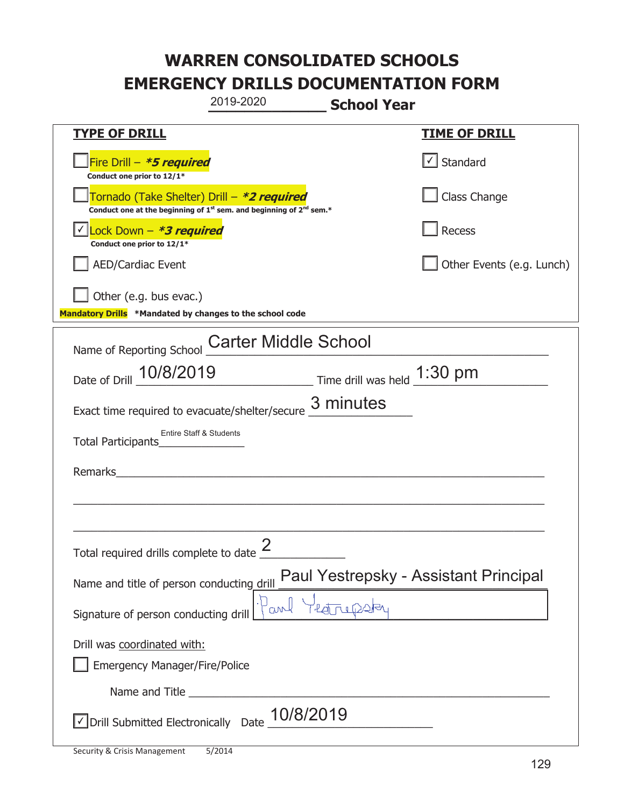| 2019-2020                                                                                                                                 | <b>School Year</b>                    |
|-------------------------------------------------------------------------------------------------------------------------------------------|---------------------------------------|
| <b>TYPE OF DRILL</b>                                                                                                                      | <b>TIME OF DRILL</b>                  |
| Fire Drill - *5 required<br>Conduct one prior to 12/1*                                                                                    | $\lfloor \angle \rfloor$ Standard     |
| Tornado (Take Shelter) Drill – *2 required<br>Conduct one at the beginning of 1 <sup>st</sup> sem. and beginning of 2 <sup>nd</sup> sem.* | Class Change                          |
| Lock Down - *3 required<br>Conduct one prior to 12/1*                                                                                     | Recess                                |
| <b>AED/Cardiac Event</b>                                                                                                                  | Other Events (e.g. Lunch)             |
| Other (e.g. bus evac.)<br>Mandatory Drills *Mandated by changes to the school code                                                        |                                       |
| <b>Carter Middle School</b><br>Name of Reporting School                                                                                   |                                       |
| Date of Drill 10/8/2019<br>$\frac{1:30 \text{ pm}}{}$ Time drill was held $\frac{1:30 \text{ pm}}{}$                                      |                                       |
| Exact time required to evacuate/shelter/secure $\frac{3}{2}$ minutes                                                                      |                                       |
| <b>Entire Staff &amp; Students</b><br>Total Participants                                                                                  |                                       |
| Remarks                                                                                                                                   |                                       |
|                                                                                                                                           |                                       |
| Total required drills complete to date $\leq$                                                                                             |                                       |
| Name and title of person conducting drill                                                                                                 | Paul Yestrepsky - Assistant Principal |
| <b>CLAN-</b><br>Signature of person conducting drill                                                                                      |                                       |
| Drill was coordinated with:<br><b>Emergency Manager/Fire/Police</b>                                                                       |                                       |
|                                                                                                                                           |                                       |
| $\vee$ Drill Submitted Electronically Date $\_$ 10/8/2019                                                                                 |                                       |